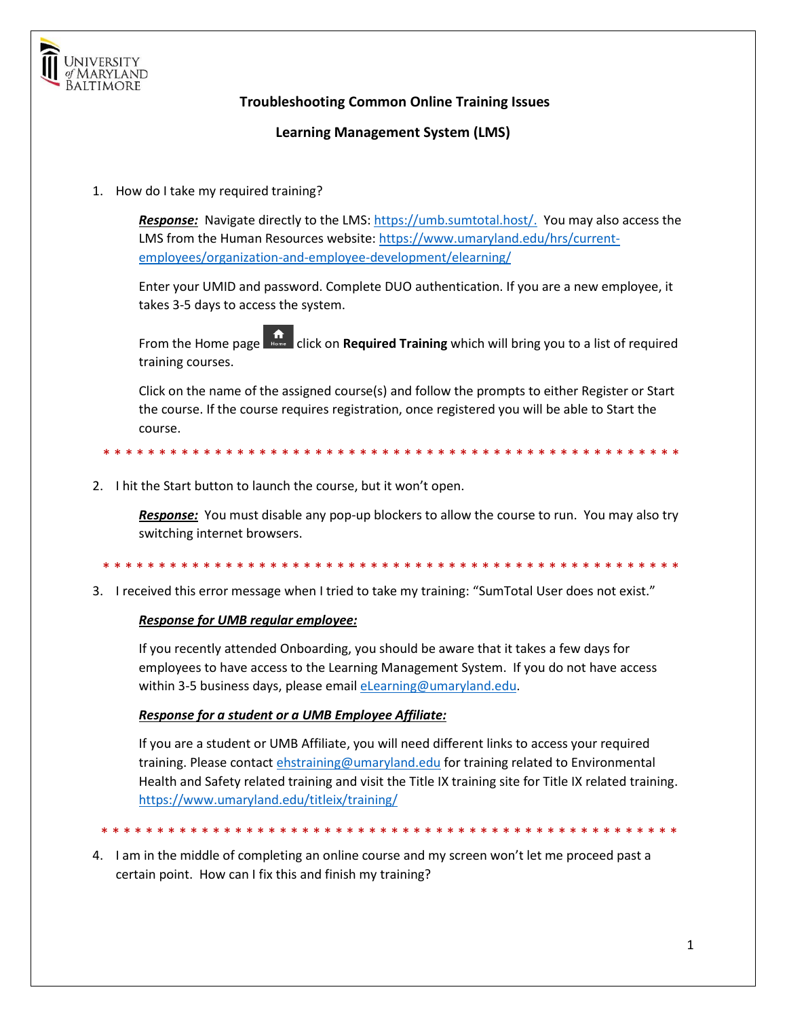

## **Troubleshooting Common Online Training Issues**

**Learning Management System (LMS)**

1. How do I take my required training?

*Response:* Navigate directly to the LMS: [https://umb.sumtotal.host/.](https://umb.sumtotal.host/) You may also access the LMS from the Human Resources website: [https://www.umaryland.edu/hrs/current](https://www.umaryland.edu/hrs/current-employees/organization-and-employee-development/elearning/)[employees/organization-and-employee-development/elearning/](https://www.umaryland.edu/hrs/current-employees/organization-and-employee-development/elearning/)

Enter your UMID and password. Complete DUO authentication. If you are a new employee, it takes 3-5 days to access the system.

From the Home page **Repart Click on Required Training** which will bring you to a list of required training courses.

Click on the name of the assigned course(s) and follow the prompts to either Register or Start the course. If the course requires registration, once registered you will be able to Start the course.

\* \* \* \* \* \* \* \* \* \* \* \* \* \* \* \* \* \* \* \* \* \* \* \* \* \* \* \* \* \* \* \* \* \* \* \* \* \* \* \* \* \* \* \* \* \* \* \* \* \* \* \*

2. I hit the Start button to launch the course, but it won't open.

*Response:* You must disable any pop-up blockers to allow the course to run. You may also try switching internet browsers.

\* \* \* \* \* \* \* \* \* \* \* \* \* \* \* \* \* \* \* \* \* \* \* \* \* \* \* \* \* \* \* \* \* \* \* \* \* \* \* \* \* \* \* \* \* \* \* \* \* \* \* \*

3. I received this error message when I tried to take my training: "SumTotal User does not exist."

## *Response for UMB regular employee:*

If you recently attended Onboarding, you should be aware that it takes a few days for employees to have access to the Learning Management System. If you do not have access within 3-5 business days, please email elearning@umaryland.edu.

## *Response for a student or a UMB Employee Affiliate:*

If you are a student or UMB Affiliate, you will need different links to access your required training. Please contact [ehstraining@umaryland.edu](mailto:ehstraining@umaryland.edu) for training related to Environmental Health and Safety related training and visit the Title IX training site for Title IX related training. <https://www.umaryland.edu/titleix/training/>

\* \* \* \* \* \* \* \* \* \* \* \* \* \* \* \* \* \* \* \* \* \* \* \* \* \* \* \* \* \* \* \* \* \* \* \* \* \* \* \* \* \* \* \* \* \* \* \* \* \* \* \*

4. I am in the middle of completing an online course and my screen won't let me proceed past a certain point. How can I fix this and finish my training?